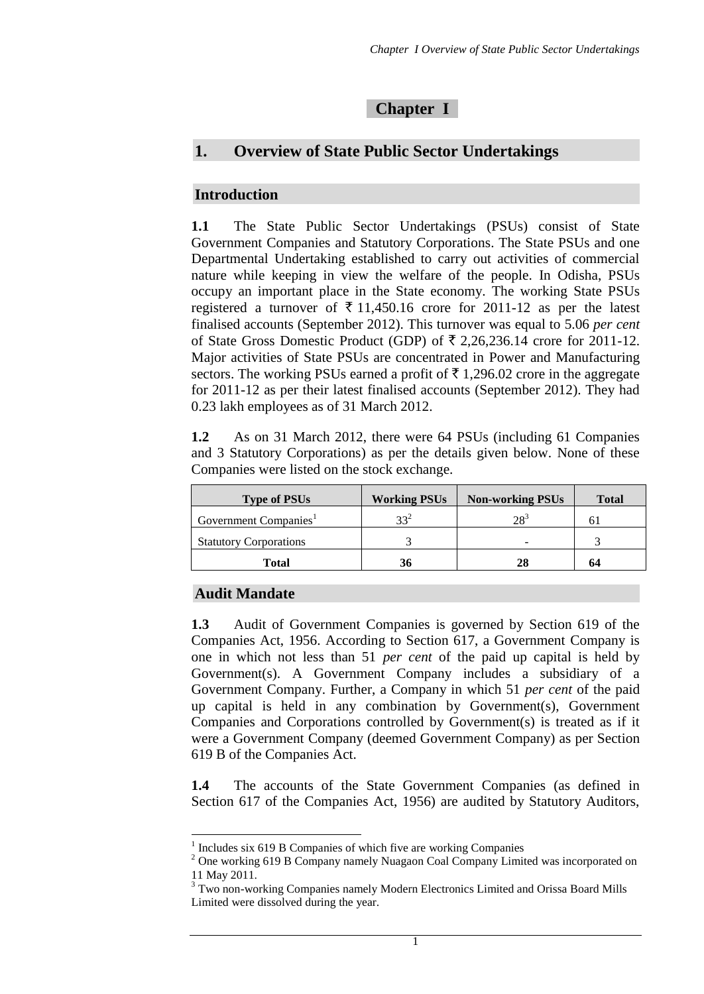### **Chapter I**

# **1. Overview of State Public Sector Undertakings**

### **Introduction**

**1.1** The State Public Sector Undertakings (PSUs) consist of State Government Companies and Statutory Corporations. The State PSUs and one Departmental Undertaking established to carry out activities of commercial nature while keeping in view the welfare of the people. In Odisha, PSUs occupy an important place in the State economy. The working State PSUs registered a turnover of  $\bar{\tau}$  11,450.16 crore for 2011-12 as per the latest finalised accounts (September 2012). This turnover was equal to 5.06 *per cent* of State Gross Domestic Product (GDP) of  $\bar{\xi}$  2,26,236.14 crore for 2011-12. Major activities of State PSUs are concentrated in Power and Manufacturing sectors. The working PSUs earned a profit of  $\bar{\tau}$  1,296.02 crore in the aggregate for 2011-12 as per their latest finalised accounts (September 2012). They had 0.23 lakh employees as of 31 March 2012.

**1.2** As on 31 March 2012, there were 64 PSUs (including 61 Companies and 3 Statutory Corporations) as per the details given below. None of these Companies were listed on the stock exchange.

| <b>Type of PSUs</b>               | <b>Working PSUs</b> | <b>Non-working PSUs</b> | <b>Total</b> |
|-----------------------------------|---------------------|-------------------------|--------------|
| Government Companies <sup>1</sup> | $33^{2}$            | $28^3$                  |              |
| <b>Statutory Corporations</b>     |                     |                         |              |
| Total                             | 36                  | 28                      | 64           |

#### **Audit Mandate**

<u>.</u>

**1.3** Audit of Government Companies is governed by Section 619 of the Companies Act, 1956. According to Section 617, a Government Company is one in which not less than 51 *per cent* of the paid up capital is held by Government(s). A Government Company includes a subsidiary of a Government Company. Further, a Company in which 51 *per cent* of the paid up capital is held in any combination by Government(s), Government Companies and Corporations controlled by Government(s) is treated as if it were a Government Company (deemed Government Company) as per Section 619 B of the Companies Act.

**1.4** The accounts of the State Government Companies (as defined in Section 617 of the Companies Act, 1956) are audited by Statutory Auditors,

<sup>&</sup>lt;sup>1</sup> Includes six 619 B Companies of which five are working Companies

<sup>&</sup>lt;sup>2</sup> One working 619 B Company namely Nuagaon Coal Company Limited was incorporated on 11 May 2011.

<sup>&</sup>lt;sup>3</sup> Two non-working Companies namely Modern Electronics Limited and Orissa Board Mills Limited were dissolved during the year.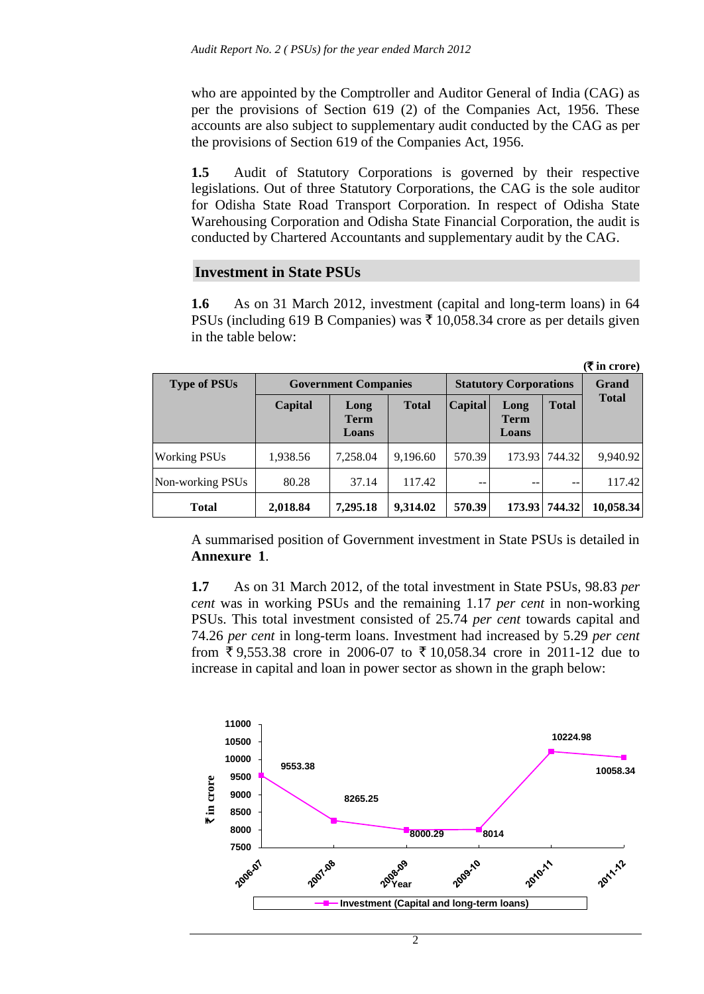who are appointed by the Comptroller and Auditor General of India (CAG) as per the provisions of Section 619 (2) of the Companies Act, 1956. These accounts are also subject to supplementary audit conducted by the CAG as per the provisions of Section 619 of the Companies Act, 1956.

**1.5** Audit of Statutory Corporations is governed by their respective legislations. Out of three Statutory Corporations, the CAG is the sole auditor for Odisha State Road Transport Corporation. In respect of Odisha State Warehousing Corporation and Odisha State Financial Corporation, the audit is conducted by Chartered Accountants and supplementary audit by the CAG.

#### **Investment in State PSUs**

**1.6** As on 31 March 2012, investment (capital and long-term loans) in 64 PSUs (including 619 B Companies) was  $\bar{\tau}$  10,058.34 crore as per details given in the table below:

|                     |                             |                               |              |                |                              |               | $(\bar{\mathbf{\mathsf{F}}}$ in crore) |
|---------------------|-----------------------------|-------------------------------|--------------|----------------|------------------------------|---------------|----------------------------------------|
| <b>Type of PSUs</b> | <b>Government Companies</b> | <b>Statutory Corporations</b> | <b>Grand</b> |                |                              |               |                                        |
|                     | Capital                     | Long<br><b>Term</b><br>Loans  | <b>Total</b> | <b>Capital</b> | Long<br><b>Term</b><br>Loans | <b>Total</b>  | <b>Total</b>                           |
| <b>Working PSUs</b> | 1,938.56                    | 7,258.04                      | 9,196.60     | 570.39         | 173.93                       | 744.32        | 9,940.92                               |
| Non-working PSUs    | 80.28                       | 37.14                         | 117.42       | --             | --                           | $-$           | 117.42                                 |
| <b>Total</b>        | 2,018.84                    | 7,295.18                      | 9,314.02     | 570.39         |                              | 173.93 744.32 | 10,058.34                              |

A summarised position of Government investment in State PSUs is detailed in **Annexure 1**.

**1.7** As on 31 March 2012, of the total investment in State PSUs, 98.83 *per cent* was in working PSUs and the remaining 1.17 *per cent* in non-working PSUs. This total investment consisted of 25.74 *per cent* towards capital and 74.26 *per cent* in long-term loans. Investment had increased by 5.29 *per cent* from  $\bar{\xi}$  9,553.38 crore in 2006-07 to  $\bar{\xi}$  10,058.34 crore in 2011-12 due to increase in capital and loan in power sector as shown in the graph below:

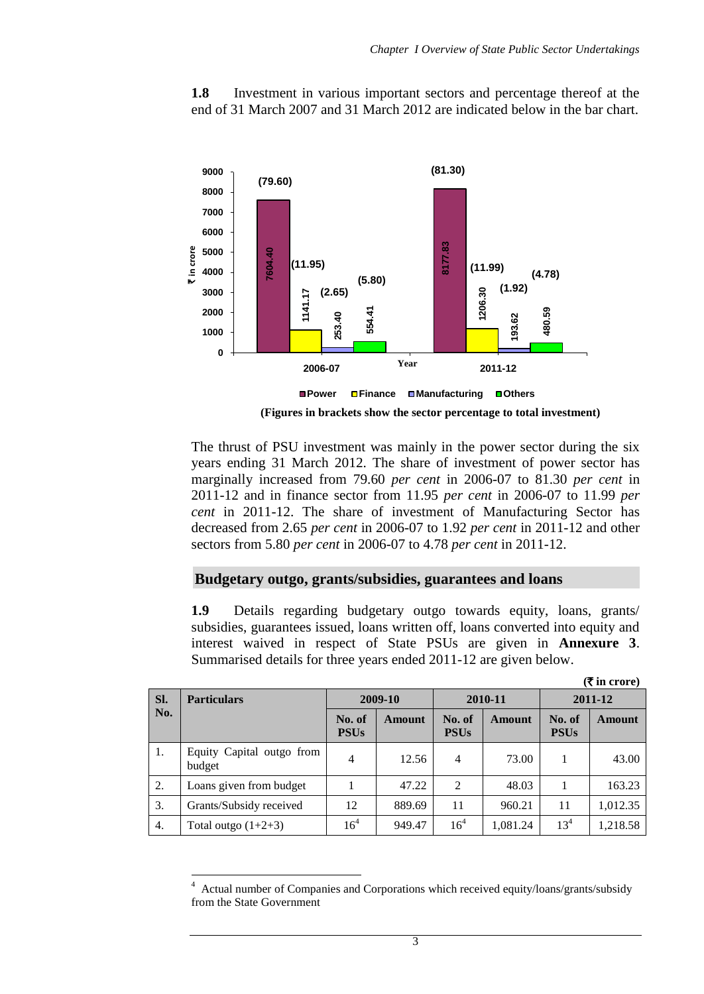**1.8** Investment in various important sectors and percentage thereof at the end of 31 March 2007 and 31 March 2012 are indicated below in the bar chart.



The thrust of PSU investment was mainly in the power sector during the six years ending 31 March 2012. The share of investment of power sector has marginally increased from 79.60 *per cent* in 2006-07 to 81.30 *per cent* in 2011-12 and in finance sector from 11.95 *per cent* in 2006-07 to 11.99 *per cent* in 2011-12. The share of investment of Manufacturing Sector has decreased from 2.65 *per cent* in 2006-07 to 1.92 *per cent* in 2011-12 and other sectors from 5.80 *per cent* in 2006-07 to 4.78 *per cent* in 2011-12.

### **Budgetary outgo, grants/subsidies, guarantees and loans**

**1.9** Details regarding budgetary outgo towards equity, loans, grants/ subsidies, guarantees issued, loans written off, loans converted into equity and interest waived in respect of State PSUs are given in **Annexure 3**. Summarised details for three years ended 2011-12 are given below.

|                  |                                     |                       |         |                       |          |                       | $(\bar{\bar{\mathbf{x}}}$ in crore) |
|------------------|-------------------------------------|-----------------------|---------|-----------------------|----------|-----------------------|-------------------------------------|
| SI.              | <b>Particulars</b>                  |                       | 2009-10 |                       | 2010-11  |                       | 2011-12                             |
| No.              |                                     | No. of<br><b>PSUs</b> | Amount  | No. of<br><b>PSUs</b> | Amount   | No. of<br><b>PSUs</b> | Amount                              |
| 1.               | Equity Capital outgo from<br>budget | 4                     | 12.56   | $\overline{4}$        | 73.00    |                       | 43.00                               |
| 2.               | Loans given from budget             |                       | 47.22   | $\overline{2}$        | 48.03    |                       | 163.23                              |
| 3.               | Grants/Subsidy received             | 12                    | 889.69  | 11                    | 960.21   | 11                    | 1,012.35                            |
| $\overline{4}$ . | Total outgo $(1+2+3)$               | 16 <sup>4</sup>       | 949.47  | $16^{4}$              | 1,081.24 | 13 <sup>4</sup>       | 1,218.58                            |

<sup>1</sup> 4 Actual number of Companies and Corporations which received equity/loans/grants/subsidy from the State Government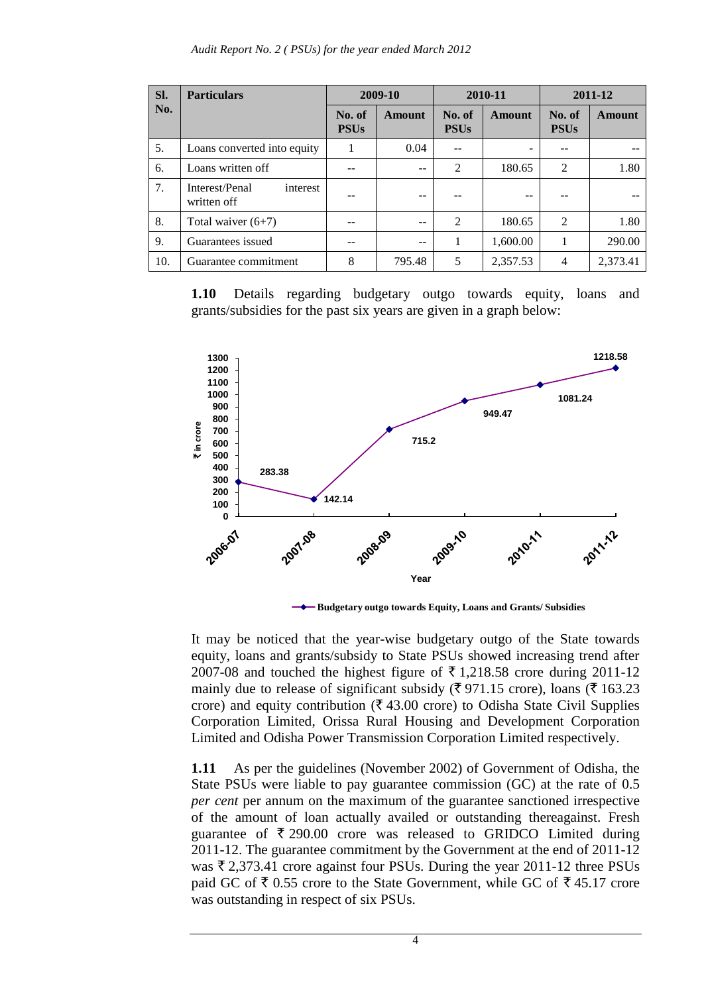| Sl. | <b>Particulars</b>                        |                       | 2009-10       | 2010-11               |               | 2011-12               |               |
|-----|-------------------------------------------|-----------------------|---------------|-----------------------|---------------|-----------------------|---------------|
| No. |                                           | No. of<br><b>PSUs</b> | <b>Amount</b> | No. of<br><b>PSUs</b> | <b>Amount</b> | No. of<br><b>PSUs</b> | <b>Amount</b> |
| 5.  | Loans converted into equity               | 1                     | 0.04          |                       |               |                       |               |
| 6.  | Loans written off                         |                       |               | $\overline{2}$        | 180.65        | $\overline{2}$        | 1.80          |
| 7.  | Interest/Penal<br>interest<br>written off |                       |               |                       | --            |                       |               |
| 8.  | Total waiver $(6+7)$                      |                       |               | 2                     | 180.65        | $\overline{c}$        | 1.80          |
| 9.  | Guarantees issued                         |                       | --            |                       | 1,600.00      |                       | 290.00        |
| 10. | Guarantee commitment                      | 8                     | 795.48        | 5                     | 2,357.53      | $\overline{4}$        | 2,373.41      |

**1.10** Details regarding budgetary outgo towards equity, loans and grants/subsidies for the past six years are given in a graph below:



**Budgetary outgo towards Equity, Loans and Grants/ Subsidies** 

It may be noticed that the year-wise budgetary outgo of the State towards equity, loans and grants/subsidy to State PSUs showed increasing trend after 2007-08 and touched the highest figure of  $\overline{5}$  1,218.58 crore during 2011-12 mainly due to release of significant subsidy ( $\overline{\xi}$  971.15 crore), loans ( $\overline{\xi}$  163.23 crore) and equity contribution ( $\bar{\tau}$  43.00 crore) to Odisha State Civil Supplies Corporation Limited, Orissa Rural Housing and Development Corporation Limited and Odisha Power Transmission Corporation Limited respectively.

**1.11** As per the guidelines (November 2002) of Government of Odisha, the State PSUs were liable to pay guarantee commission (GC) at the rate of 0.5 *per cent* per annum on the maximum of the guarantee sanctioned irrespective of the amount of loan actually availed or outstanding thereagainst. Fresh guarantee of  $\bar{\tau}$  290.00 crore was released to GRIDCO Limited during 2011-12. The guarantee commitment by the Government at the end of 2011-12 was  $\bar{\tau}$  2,373.41 crore against four PSUs. During the year 2011-12 three PSUs paid GC of  $\bar{\tau}$  0.55 crore to the State Government, while GC of  $\bar{\tau}$  45.17 crore was outstanding in respect of six PSUs.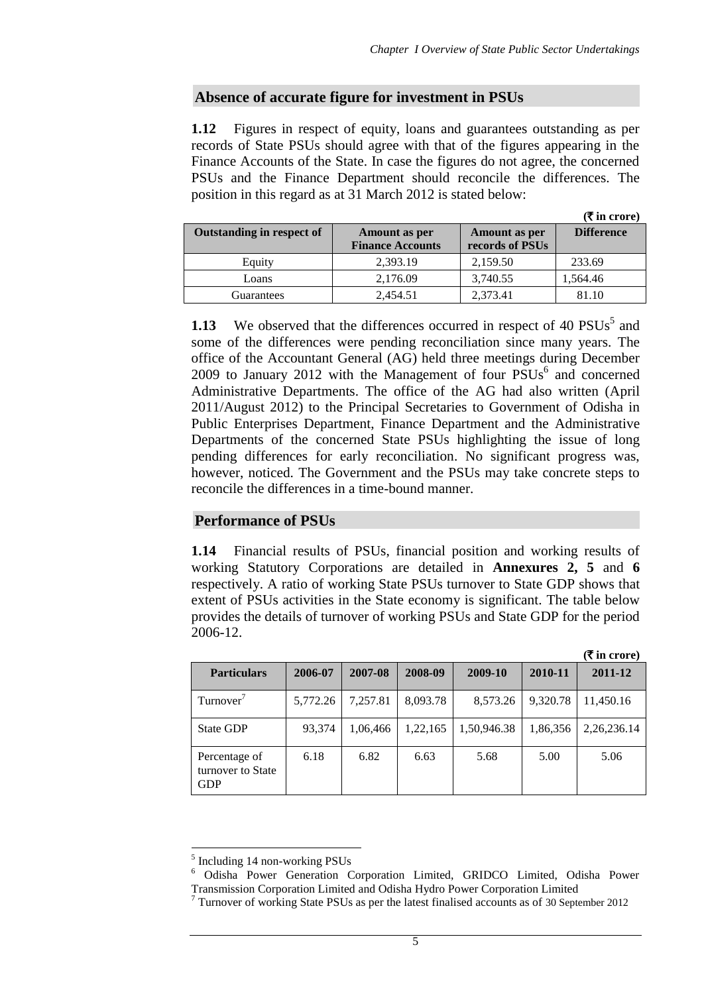### **Absence of accurate figure for investment in PSUs**

**1.12** Figures in respect of equity, loans and guarantees outstanding as per records of State PSUs should agree with that of the figures appearing in the Finance Accounts of the State. In case the figures do not agree, the concerned PSUs and the Finance Department should reconcile the differences. The position in this regard as at 31 March 2012 is stated below:

|                                  |                                          |                                  | $(\bar{\mathbf{\mathsf{z}}})$ in crore) |
|----------------------------------|------------------------------------------|----------------------------------|-----------------------------------------|
| <b>Outstanding in respect of</b> | Amount as per<br><b>Finance Accounts</b> | Amount as per<br>records of PSUs | <b>Difference</b>                       |
| Equity                           | 2,393.19                                 | 2,159.50                         | 233.69                                  |
| Loans                            | 2,176.09                                 | 3,740.55                         | 1,564.46                                |
| Guarantees                       | 2,454.51                                 | 2.373.41                         | 81.10                                   |

**1.13** We observed that the differences occurred in respect of 40  $PSUs^5$  and some of the differences were pending reconciliation since many years. The office of the Accountant General (AG) held three meetings during December  $2009$  to January  $2012$  with the Management of four  $PSUs^6$  and concerned Administrative Departments. The office of the AG had also written (April 2011/August 2012) to the Principal Secretaries to Government of Odisha in Public Enterprises Department, Finance Department and the Administrative Departments of the concerned State PSUs highlighting the issue of long pending differences for early reconciliation. No significant progress was, however, noticed. The Government and the PSUs may take concrete steps to reconcile the differences in a time-bound manner.

### **Performance of PSUs**

**1.14** Financial results of PSUs, financial position and working results of working Statutory Corporations are detailed in **Annexures 2, 5** and **6** respectively. A ratio of working State PSUs turnover to State GDP shows that extent of PSUs activities in the State economy is significant. The table below provides the details of turnover of working PSUs and State GDP for the period 2006-12.

**(**` **in crore)**

|                                                  |          |          |          |             |          | (< in crore)   |
|--------------------------------------------------|----------|----------|----------|-------------|----------|----------------|
| <b>Particulars</b>                               | 2006-07  | 2007-08  | 2008-09  | 2009-10     | 2010-11  | 2011-12        |
| Turnover <sup>'</sup>                            | 5,772.26 | 7,257.81 | 8,093.78 | 8,573.26    | 9,320.78 | 11,450.16      |
| <b>State GDP</b>                                 | 93,374   | 1,06,466 | 1,22,165 | 1,50,946.38 | 1,86,356 | 2, 26, 236. 14 |
| Percentage of<br>turnover to State<br><b>GDP</b> | 6.18     | 6.82     | 6.63     | 5.68        | 5.00     | 5.06           |

-

<sup>&</sup>lt;sup>5</sup> Including 14 non-working PSUs

<sup>6</sup> Odisha Power Generation Corporation Limited, GRIDCO Limited, Odisha Power Transmission Corporation Limited and Odisha Hydro Power Corporation Limited

 $7$  Turnover of working State PSUs as per the latest finalised accounts as of 30 September 2012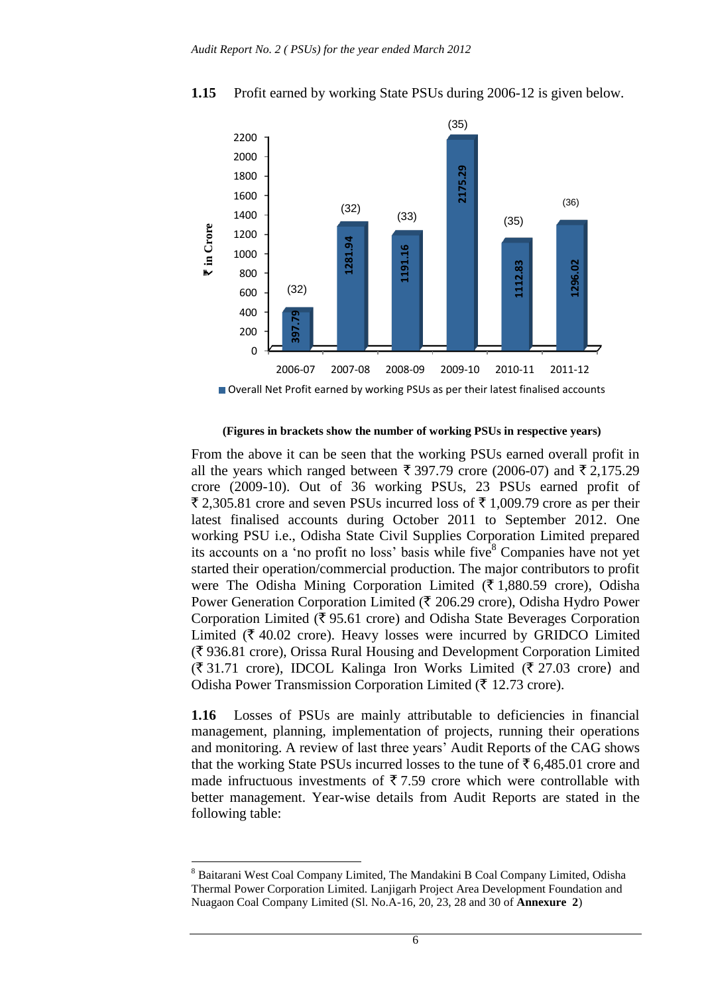

### **1.15** Profit earned by working State PSUs during 2006-12 is given below.

Overall Net Profit earned by working PSUs as per their latest finalised accounts

#### **(Figures in brackets show the number of working PSUs in respective years)**

From the above it can be seen that the working PSUs earned overall profit in all the years which ranged between  $\bar{\xi}$  397.79 crore (2006-07) and  $\bar{\xi}$  2,175.29 crore (2009-10). Out of 36 working PSUs, 23 PSUs earned profit of  $\overline{2}$ , 2,305.81 crore and seven PSUs incurred loss of  $\overline{2}$  1,009.79 crore as per their latest finalised accounts during October 2011 to September 2012. One working PSU i.e., Odisha State Civil Supplies Corporation Limited prepared its accounts on a 'no profit no loss' basis while five  $8$  Companies have not yet started their operation/commercial production. The major contributors to profit were The Odisha Mining Corporation Limited ( $\bar{\tau}$  1,880.59 crore), Odisha Power Generation Corporation Limited ( $\bar{\tau}$  206.29 crore), Odisha Hydro Power Corporation Limited ( $\overline{\xi}$  95.61 crore) and Odisha State Beverages Corporation Limited ( $\bar{\tau}$  40.02 crore). Heavy losses were incurred by GRIDCO Limited  $(\overline{\mathbf{\xi}})$  936.81 crore), Orissa Rural Housing and Development Corporation Limited  $(\overline{\mathfrak{F}} 31.71 \text{ core})$ , IDCOL Kalinga Iron Works Limited ( $\overline{\mathfrak{F}} 27.03 \text{ core}$ ) and Odisha Power Transmission Corporation Limited ( $\bar{\tau}$  12.73 crore).

**1.16** Losses of PSUs are mainly attributable to deficiencies in financial management, planning, implementation of projects, running their operations and monitoring. A review of last three years' Audit Reports of the CAG shows that the working State PSUs incurred losses to the tune of  $\bar{\tau}$  6,485.01 crore and made infructuous investments of  $\bar{\tau}$  7.59 crore which were controllable with better management. Year-wise details from Audit Reports are stated in the following table:

<sup>8</sup> Baitarani West Coal Company Limited, The Mandakini B Coal Company Limited, Odisha Thermal Power Corporation Limited. Lanjigarh Project Area Development Foundation and Nuagaon Coal Company Limited (Sl. No.A-16, 20, 23, 28 and 30 of **Annexure 2**)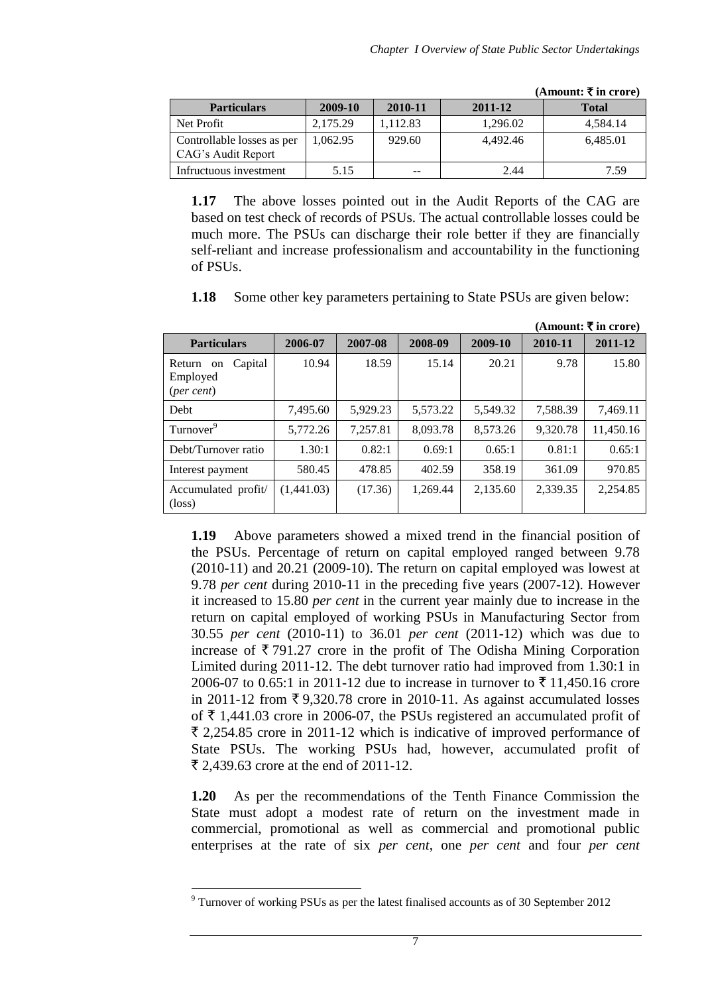$(A_{\text{moment}} \mathbf{F} \mathbf{in} \text{ among})$ 

|                                                  |          |          |          | (AMOUN), \ M CI OI C/ |
|--------------------------------------------------|----------|----------|----------|-----------------------|
| <b>Particulars</b>                               | 2009-10  | 2010-11  | 2011-12  | <b>Total</b>          |
| Net Profit                                       | 2,175.29 | 1.112.83 | 1,296.02 | 4,584.14              |
| Controllable losses as per<br>CAG's Audit Report | 1.062.95 | 929.60   | 4.492.46 | 6,485.01              |
| Infructuous investment                           | 5.15     | $- -$    | 2.44     | 7.59                  |

**1.17** The above losses pointed out in the Audit Reports of the CAG are based on test check of records of PSUs. The actual controllable losses could be much more. The PSUs can discharge their role better if they are financially self-reliant and increase professionalism and accountability in the functioning of PSUs.

**1.18** Some other key parameters pertaining to State PSUs are given below:

|                                                |            |          |          |          |          | (Amount: ₹ in crore) |
|------------------------------------------------|------------|----------|----------|----------|----------|----------------------|
| <b>Particulars</b>                             | 2006-07    | 2007-08  | 2008-09  | 2009-10  | 2010-11  | 2011-12              |
| Capital<br>Return on<br>Employed<br>(per cent) | 10.94      | 18.59    | 15.14    | 20.21    | 9.78     | 15.80                |
| Debt                                           | 7,495.60   | 5,929.23 | 5,573.22 | 5,549.32 | 7,588.39 | 7,469.11             |
| Turnover <sup>9</sup>                          | 5,772.26   | 7,257.81 | 8,093.78 | 8,573.26 | 9,320.78 | 11,450.16            |
| Debt/Turnover ratio                            | 1.30:1     | 0.82:1   | 0.69:1   | 0.65:1   | 0.81:1   | 0.65:1               |
| Interest payment                               | 580.45     | 478.85   | 402.59   | 358.19   | 361.09   | 970.85               |
| Accumulated profit/<br>$(\text{loss})$         | (1,441.03) | (17.36)  | 1.269.44 | 2,135.60 | 2,339.35 | 2,254.85             |

**1.19** Above parameters showed a mixed trend in the financial position of the PSUs. Percentage of return on capital employed ranged between 9.78 (2010-11) and 20.21 (2009-10). The return on capital employed was lowest at 9.78 *per cent* during 2010-11 in the preceding five years (2007-12). However it increased to 15.80 *per cent* in the current year mainly due to increase in the return on capital employed of working PSUs in Manufacturing Sector from 30.55 *per cent* (2010-11) to 36.01 *per cent* (2011-12) which was due to increase of  $\bar{\tau}$  791.27 crore in the profit of The Odisha Mining Corporation Limited during 2011-12. The debt turnover ratio had improved from 1.30:1 in 2006-07 to 0.65:1 in 2011-12 due to increase in turnover to  $\bar{\tau}$  11,450.16 crore in 2011-12 from  $\overline{\xi}$  9,320.78 crore in 2010-11. As against accumulated losses of  $\bar{\tau}$  1,441.03 crore in 2006-07, the PSUs registered an accumulated profit of  $\bar{\xi}$  2,254.85 crore in 2011-12 which is indicative of improved performance of State PSUs. The working PSUs had, however, accumulated profit of  $\bar{\xi}$  2.439.63 crore at the end of 2011-12.

**1.20** As per the recommendations of the Tenth Finance Commission the State must adopt a modest rate of return on the investment made in commercial, promotional as well as commercial and promotional public enterprises at the rate of six *per cent*, one *per cent* and four *per cent*

<sup>9</sup> Turnover of working PSUs as per the latest finalised accounts as of 30 September 2012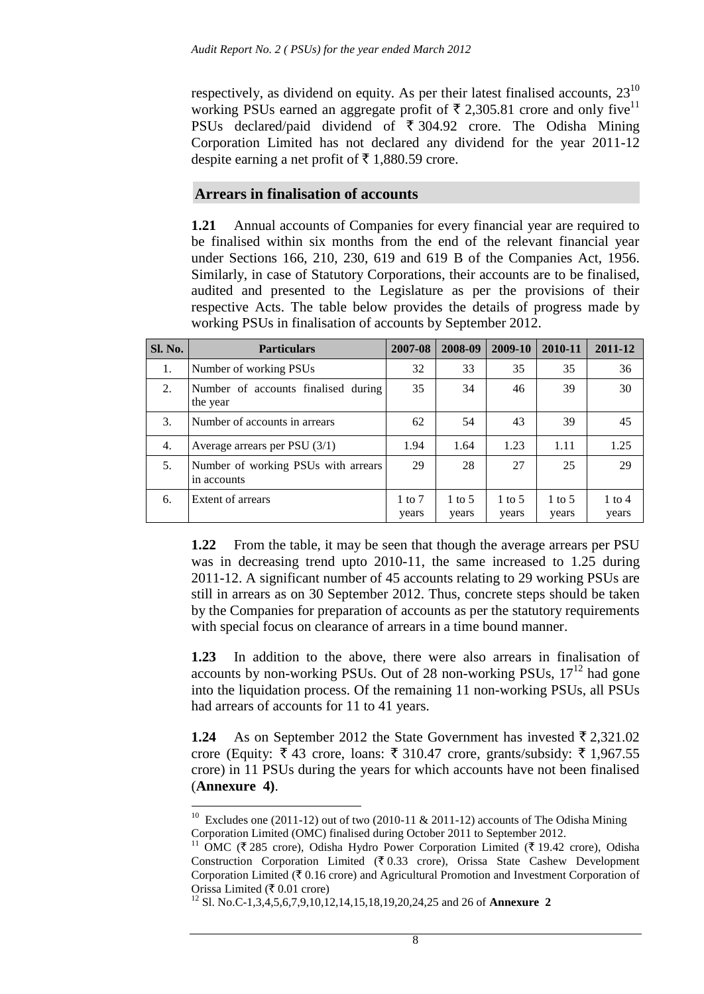respectively, as dividend on equity. As per their latest finalised accounts,  $23^{10}$ working PSUs earned an aggregate profit of  $\bar{\tau}$  2.305.81 crore and only five<sup>11</sup> PSUs declared/paid dividend of  $\bar{\tau}$  304.92 crore. The Odisha Mining Corporation Limited has not declared any dividend for the year 2011-12 despite earning a net profit of  $\bar{\tau}$  1,880.59 crore.

## **Arrears in finalisation of accounts**

**1.21** Annual accounts of Companies for every financial year are required to be finalised within six months from the end of the relevant financial year under Sections 166, 210, 230, 619 and 619 B of the Companies Act, 1956. Similarly, in case of Statutory Corporations, their accounts are to be finalised, audited and presented to the Legislature as per the provisions of their respective Acts. The table below provides the details of progress made by working PSUs in finalisation of accounts by September 2012.

| Sl. No. | <b>Particulars</b>                                 | 2007-08           | 2008-09         | 2009-10                    | 2010-11         | 2011-12                    |
|---------|----------------------------------------------------|-------------------|-----------------|----------------------------|-----------------|----------------------------|
| 1.      | Number of working PSUs                             | 32                | 33              | 35                         | 35              | 36                         |
| 2.      | Number of accounts finalised during<br>the year    | 35                | 34              | 46                         | 39              | 30                         |
| 3.      | Number of accounts in arrears                      | 62                | 54              | 43                         | 39              | 45                         |
| 4.      | Average arrears per PSU $(3/1)$                    | 1.94              | 1.64            | 1.23                       | 1.11            | 1.25                       |
| 5.      | Number of working PSUs with arrears<br>in accounts | 29                | 28              | 27                         | 25              | 29                         |
| 6.      | Extent of arrears                                  | 1 to $7$<br>years | 1 to 5<br>years | $1 \text{ to } 5$<br>years | 1 to 5<br>years | $1 \text{ to } 4$<br>years |

**1.22** From the table, it may be seen that though the average arrears per PSU was in decreasing trend upto 2010-11, the same increased to 1.25 during 2011-12. A significant number of 45 accounts relating to 29 working PSUs are still in arrears as on 30 September 2012. Thus, concrete steps should be taken by the Companies for preparation of accounts as per the statutory requirements with special focus on clearance of arrears in a time bound manner.

**1.23** In addition to the above, there were also arrears in finalisation of accounts by non-working PSUs. Out of 28 non-working PSUs,  $17<sup>12</sup>$  had gone into the liquidation process. Of the remaining 11 non-working PSUs, all PSUs had arrears of accounts for 11 to 41 years.

**1.24** As on September 2012 the State Government has invested  $\bar{\tau}$  2,321.02 crore (Equity:  $\overline{\xi}$  43 crore, loans:  $\overline{\xi}$  310.47 crore, grants/subsidy:  $\overline{\xi}$  1,967.55 crore) in 11 PSUs during the years for which accounts have not been finalised (**Annexure 4)**.

<sup>&</sup>lt;sup>10</sup> Excludes one (2011-12) out of two (2010-11 & 2011-12) accounts of The Odisha Mining Corporation Limited (OMC) finalised during October 2011 to September 2012.

<sup>&</sup>lt;sup>11</sup> OMC ( $\bar{\tau}$  285 crore), Odisha Hydro Power Corporation Limited ( $\bar{\tau}$  19.42 crore), Odisha Construction Corporation Limited ( $\bar{\tau}$  0.33 crore), Orissa State Cashew Development Corporation Limited ( $\bar{\tau}$  0.16 crore) and Agricultural Promotion and Investment Corporation of Orissa Limited ( $\bar{\tau}$  0.01 crore)

<sup>12</sup> Sl. No.C-1,3,4,5,6,7,9,10,12,14,15,18,19,20,24,25 and 26 of **Annexure 2**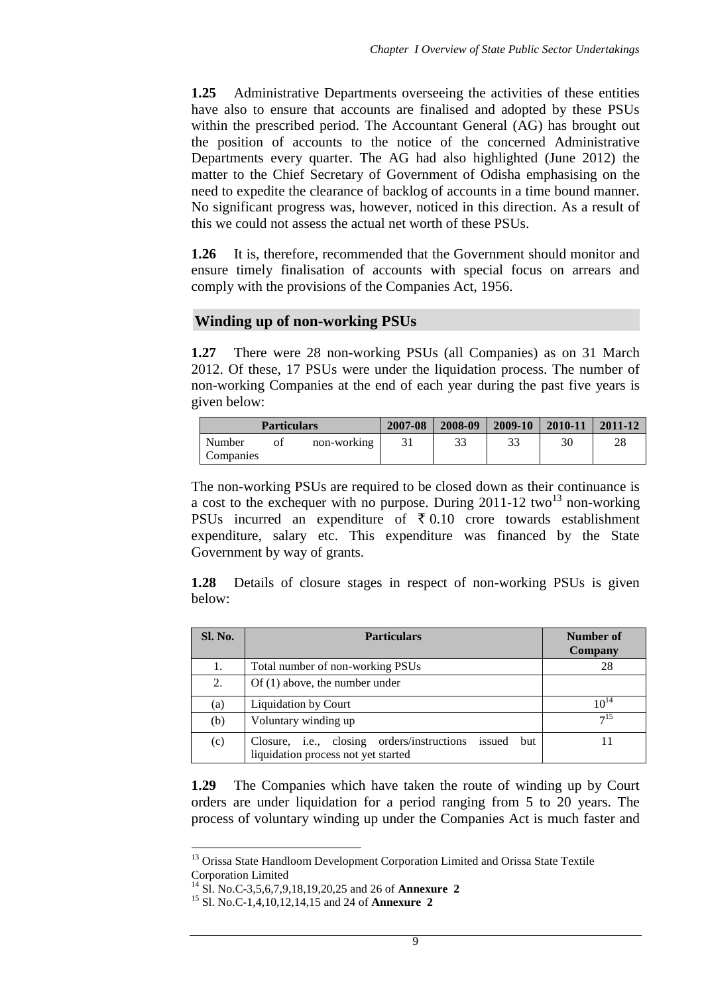**1.25** Administrative Departments overseeing the activities of these entities have also to ensure that accounts are finalised and adopted by these PSUs within the prescribed period. The Accountant General (AG) has brought out the position of accounts to the notice of the concerned Administrative Departments every quarter. The AG had also highlighted (June 2012) the matter to the Chief Secretary of Government of Odisha emphasising on the need to expedite the clearance of backlog of accounts in a time bound manner. No significant progress was, however, noticed in this direction. As a result of this we could not assess the actual net worth of these PSUs.

**1.26** It is, therefore, recommended that the Government should monitor and ensure timely finalisation of accounts with special focus on arrears and comply with the provisions of the Companies Act, 1956.

#### **Winding up of non-working PSUs**

**1.27** There were 28 non-working PSUs (all Companies) as on 31 March 2012. Of these, 17 PSUs were under the liquidation process. The number of non-working Companies at the end of each year during the past five years is given below:

|                     | <b>Particulars</b> |             | 2007-08 | 2008-09 | 2009-10 | 2010-11 | 2011-12 |
|---------------------|--------------------|-------------|---------|---------|---------|---------|---------|
| Number<br>Companies | ot                 | non-working |         |         | 33      | 30      | 28      |

The non-working PSUs are required to be closed down as their continuance is a cost to the exchequer with no purpose. During  $2011-12$  two<sup>13</sup> non-working PSUs incurred an expenditure of  $\bar{\tau}$  0.10 crore towards establishment expenditure, salary etc. This expenditure was financed by the State Government by way of grants.

**1.28** Details of closure stages in respect of non-working PSUs is given below:

| Sl. No. | <b>Particulars</b>                                                                              | Number of<br>Company |
|---------|-------------------------------------------------------------------------------------------------|----------------------|
| 1.      | Total number of non-working PSUs                                                                | 28                   |
| 2.      | $Of(1)$ above, the number under                                                                 |                      |
| (a)     | Liquidation by Court                                                                            | $10^{14}$            |
| (b)     | Voluntary winding up                                                                            | 7 <sup>15</sup>      |
| (c)     | Closure, i.e., closing orders/instructions issued<br>but<br>liquidation process not yet started |                      |

**1.29** The Companies which have taken the route of winding up by Court orders are under liquidation for a period ranging from 5 to 20 years. The process of voluntary winding up under the Companies Act is much faster and

-

<sup>&</sup>lt;sup>13</sup> Orissa State Handloom Development Corporation Limited and Orissa State Textile Corporation Limited

<sup>14</sup> Sl. No.C-3,5,6,7,9,18,19,20,25 and 26 of **Annexure 2**

<sup>15</sup> Sl. No.C-1,4,10,12,14,15 and 24 of **Annexure 2**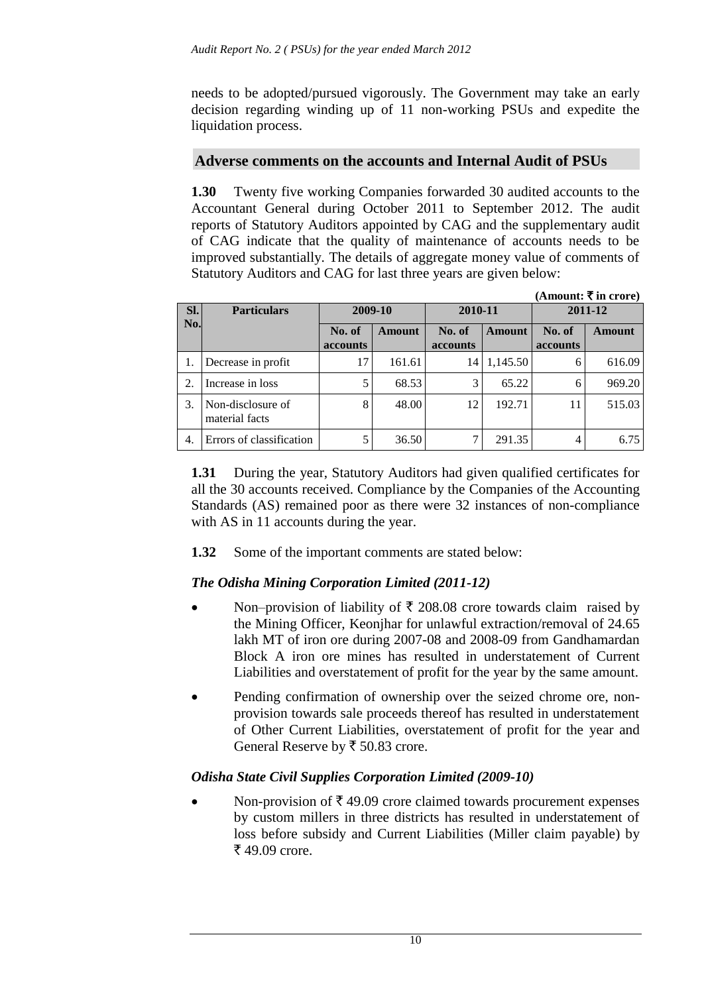needs to be adopted/pursued vigorously. The Government may take an early decision regarding winding up of 11 non-working PSUs and expedite the liquidation process.

## **Adverse comments on the accounts and Internal Audit of PSUs**

**1.30** Twenty five working Companies forwarded 30 audited accounts to the Accountant General during October 2011 to September 2012. The audit reports of Statutory Auditors appointed by CAG and the supplementary audit of CAG indicate that the quality of maintenance of accounts needs to be improved substantially. The details of aggregate money value of comments of Statutory Auditors and CAG for last three years are given below:

|                |                                     |                           |         |                    |          |                    | (Amount: ₹ in crore) |  |
|----------------|-------------------------------------|---------------------------|---------|--------------------|----------|--------------------|----------------------|--|
| SI.            | <b>Particulars</b>                  |                           | 2009-10 | 2010-11            |          | 2011-12            |                      |  |
| No.            |                                     | No. of<br><b>accounts</b> | Amount  | No. of<br>accounts | Amount   | No. of<br>accounts | Amount               |  |
|                | Decrease in profit                  | 17                        | 161.61  | 14                 | 1,145.50 | 6                  | 616.09               |  |
| 2.             | Increase in loss                    | 5                         | 68.53   | $\overline{3}$     | 65.22    | 6                  | 969.20               |  |
| 3.             | Non-disclosure of<br>material facts | 8                         | 48.00   | 12                 | 192.71   | 11                 | 515.03               |  |
| $\overline{4}$ | Errors of classification            | 5                         | 36.50   |                    | 291.35   | 4                  | 6.75                 |  |

**1.31** During the year, Statutory Auditors had given qualified certificates for all the 30 accounts received. Compliance by the Companies of the Accounting Standards (AS) remained poor as there were 32 instances of non-compliance with AS in 11 accounts during the year.

**1.32** Some of the important comments are stated below:

## *The Odisha Mining Corporation Limited (2011-12)*

- Non–provision of liability of  $\bar{\tau}$  208.08 crore towards claim raised by the Mining Officer, Keonjhar for unlawful extraction/removal of 24.65 lakh MT of iron ore during 2007-08 and 2008-09 from Gandhamardan Block A iron ore mines has resulted in understatement of Current Liabilities and overstatement of profit for the year by the same amount.
- Pending confirmation of ownership over the seized chrome ore, nonprovision towards sale proceeds thereof has resulted in understatement of Other Current Liabilities, overstatement of profit for the year and General Reserve by ₹ 50.83 crore.

## *Odisha State Civil Supplies Corporation Limited (2009-10)*

Non-provision of  $\bar{\tau}$  49.09 crore claimed towards procurement expenses by custom millers in three districts has resulted in understatement of loss before subsidy and Current Liabilities (Miller claim payable) by ₹49.09 crore.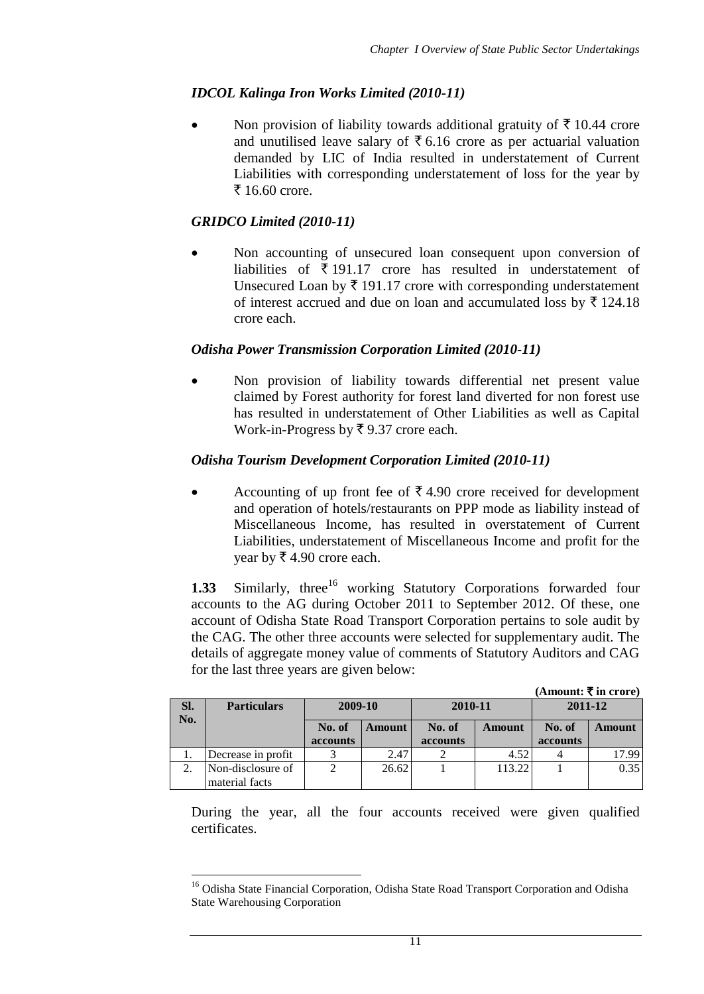# *IDCOL Kalinga Iron Works Limited (2010-11)*

Non provision of liability towards additional gratuity of  $\bar{\tau}$  10.44 crore and unutilised leave salary of  $\bar{\tau}$  6.16 crore as per actuarial valuation demanded by LIC of India resulted in understatement of Current Liabilities with corresponding understatement of loss for the year by  $\bar{5}$  16.60 crore.

## *GRIDCO Limited (2010-11)*

 Non accounting of unsecured loan consequent upon conversion of liabilities of  $\bar{\tau}$  191.17 crore has resulted in understatement of Unsecured Loan by  $\bar{\tau}$  191.17 crore with corresponding understatement of interest accrued and due on loan and accumulated loss by  $\bar{\tau}$  124.18 crore each.

## *Odisha Power Transmission Corporation Limited (2010-11)*

 Non provision of liability towards differential net present value claimed by Forest authority for forest land diverted for non forest use has resulted in understatement of Other Liabilities as well as Capital Work-in-Progress by  $\bar{\tau}$  9.37 crore each.

## *Odisha Tourism Development Corporation Limited (2010-11)*

Accounting of up front fee of  $\bar{\tau}$  4.90 crore received for development and operation of hotels/restaurants on PPP mode as liability instead of Miscellaneous Income, has resulted in overstatement of Current Liabilities, understatement of Miscellaneous Income and profit for the year by  $\bar{\xi}$  4.90 crore each.

1.33 Similarly, three<sup>16</sup> working Statutory Corporations forwarded four accounts to the AG during October 2011 to September 2012. Of these, one account of Odisha State Road Transport Corporation pertains to sole audit by the CAG. The other three accounts were selected for supplementary audit. The details of aggregate money value of comments of Statutory Auditors and CAG for the last three years are given below:

|     |                    |          |        |          |        | (Amount: ₹ in crore) |               |
|-----|--------------------|----------|--------|----------|--------|----------------------|---------------|
| SI. | <b>Particulars</b> | 2009-10  |        | 2010-11  |        | 2011-12              |               |
| No. |                    | No. of   | Amount | No. of   | Amount | No. of               | <b>Amount</b> |
|     |                    | accounts |        | accounts |        | accounts             |               |
|     | Decrease in profit |          | 2.47   |          | 4.52   |                      | 17.99         |
|     | Non-disclosure of  |          | 26.62  |          | 113.22 |                      | 0.35          |
|     | material facts     |          |        |          |        |                      |               |

During the year, all the four accounts received were given qualified certificates.

<sup>1</sup> <sup>16</sup> Odisha State Financial Corporation, Odisha State Road Transport Corporation and Odisha State Warehousing Corporation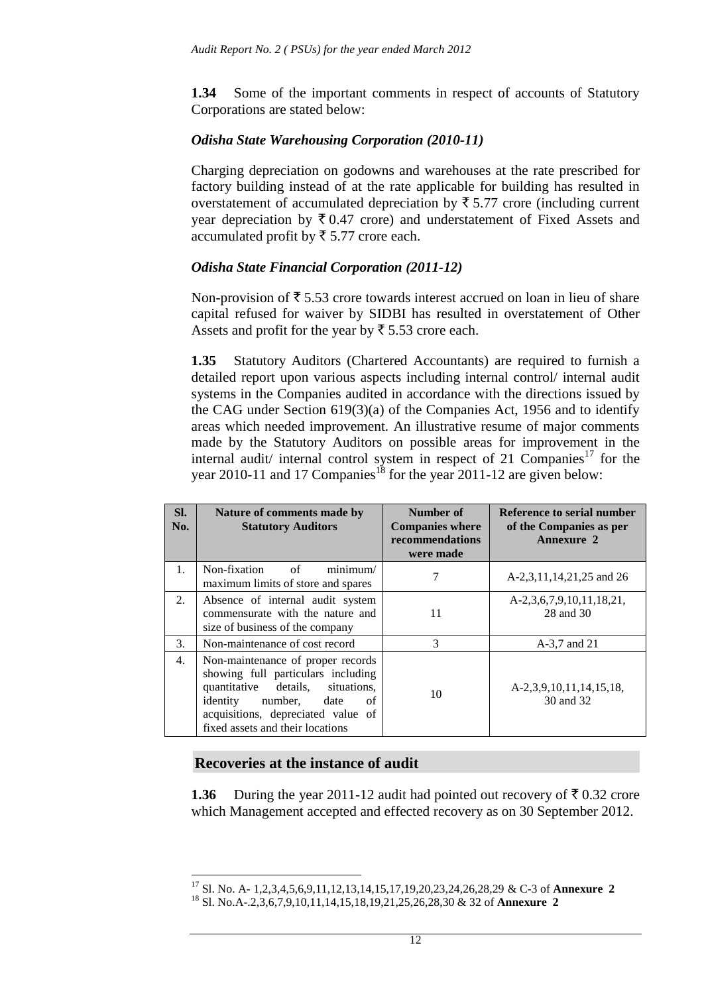**1.34** Some of the important comments in respect of accounts of Statutory Corporations are stated below:

### *Odisha State Warehousing Corporation (2010-11)*

Charging depreciation on godowns and warehouses at the rate prescribed for factory building instead of at the rate applicable for building has resulted in overstatement of accumulated depreciation by  $\bar{\tau}$  5.77 crore (including current year depreciation by  $\bar{\tau}$  0.47 crore) and understatement of Fixed Assets and accumulated profit by  $\bar{\xi}$  5.77 crore each.

### *Odisha State Financial Corporation (2011-12)*

Non-provision of  $\overline{\xi}$  5.53 crore towards interest accrued on loan in lieu of share capital refused for waiver by SIDBI has resulted in overstatement of Other Assets and profit for the year by  $\overline{\xi}$  5.53 crore each.

**1.35** Statutory Auditors (Chartered Accountants) are required to furnish a detailed report upon various aspects including internal control/ internal audit systems in the Companies audited in accordance with the directions issued by the CAG under Section 619(3)(a) of the Companies Act, 1956 and to identify areas which needed improvement. An illustrative resume of major comments made by the Statutory Auditors on possible areas for improvement in the internal audit/ internal control system in respect of 21 Companies<sup>17</sup> for the year 2010-11 and 17 Companies<sup>18</sup> for the year 2011-12 are given below:

| SI.<br>No. | Nature of comments made by<br><b>Statutory Auditors</b>                                                                                                                                                                     | Number of<br><b>Companies where</b><br>recommendations<br>were made | Reference to serial number<br>of the Companies as per<br><b>Annexure 2</b> |
|------------|-----------------------------------------------------------------------------------------------------------------------------------------------------------------------------------------------------------------------------|---------------------------------------------------------------------|----------------------------------------------------------------------------|
| 1.         | of<br>minimum/<br>Non-fixation<br>maximum limits of store and spares                                                                                                                                                        |                                                                     | A-2,3,11,14,21,25 and 26                                                   |
| 2.         | Absence of internal audit system<br>commensurate with the nature and<br>size of business of the company                                                                                                                     | 11                                                                  | A-2,3,6,7,9,10,11,18,21,<br>28 and 30                                      |
| 3.         | Non-maintenance of cost record                                                                                                                                                                                              | 3                                                                   | A-3,7 and 21                                                               |
| 4.         | Non-maintenance of proper records<br>showing full particulars including<br>quantitative details,<br>situations,<br>identity<br>number, date<br>of<br>acquisitions, depreciated value of<br>fixed assets and their locations | 10                                                                  | A-2,3,9,10,11,14,15,18,<br>30 and 32                                       |

#### **Recoveries at the instance of audit**

1

**1.36** During the year 2011-12 audit had pointed out recovery of  $\bar{\tau}$  0.32 crore which Management accepted and effected recovery as on 30 September 2012.

<sup>17</sup> Sl. No. A- 1,2,3,4,5,6,9,11,12,13,14,15,17,19,20,23,24,26,28,29 & C-3 of **Annexure 2**

<sup>18</sup> Sl. No.A-.2,3,6,7,9,10,11,14,15,18,19,21,25,26,28,30 & 32 of **Annexure 2**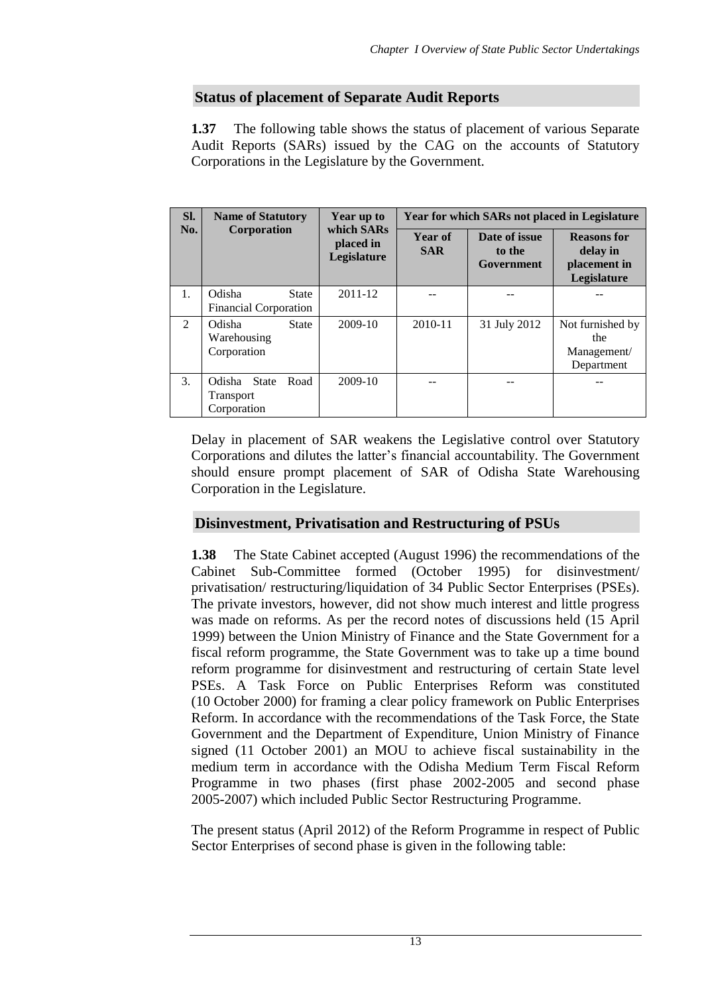## **Status of placement of Separate Audit Reports**

**1.37** The following table shows the status of placement of various Separate Audit Reports (SARs) issued by the CAG on the accounts of Statutory Corporations in the Legislature by the Government.

| SI.           | <b>Name of Statutory</b>                                | Year up to<br>which SARs<br>placed in<br>Legislature | Year for which SARs not placed in Legislature |                                       |                                                               |  |
|---------------|---------------------------------------------------------|------------------------------------------------------|-----------------------------------------------|---------------------------------------|---------------------------------------------------------------|--|
| No.           | Corporation                                             |                                                      | Year of<br><b>SAR</b>                         | Date of issue<br>to the<br>Government | <b>Reasons</b> for<br>delay in<br>placement in<br>Legislature |  |
| 1.            | Odisha<br><b>State</b><br>Financial Corporation         | $2011 - 12$                                          |                                               |                                       |                                                               |  |
| $\mathcal{L}$ | Odisha<br><b>State</b><br>Warehousing<br>Corporation    | 2009-10                                              | $2010 - 11$                                   | 31 July 2012                          | Not furnished by<br>the<br>Management/<br>Department          |  |
| 3.            | Odisha State<br>Road<br><b>Transport</b><br>Corporation | 2009-10                                              |                                               |                                       |                                                               |  |

Delay in placement of SAR weakens the Legislative control over Statutory Corporations and dilutes the latter's financial accountability. The Government should ensure prompt placement of SAR of Odisha State Warehousing Corporation in the Legislature.

## **Disinvestment, Privatisation and Restructuring of PSUs**

**1.38** The State Cabinet accepted (August 1996) the recommendations of the Cabinet Sub-Committee formed (October 1995) for disinvestment/ privatisation/ restructuring/liquidation of 34 Public Sector Enterprises (PSEs). The private investors, however, did not show much interest and little progress was made on reforms. As per the record notes of discussions held (15 April 1999) between the Union Ministry of Finance and the State Government for a fiscal reform programme, the State Government was to take up a time bound reform programme for disinvestment and restructuring of certain State level PSEs. A Task Force on Public Enterprises Reform was constituted (10 October 2000) for framing a clear policy framework on Public Enterprises Reform. In accordance with the recommendations of the Task Force, the State Government and the Department of Expenditure, Union Ministry of Finance signed (11 October 2001) an MOU to achieve fiscal sustainability in the medium term in accordance with the Odisha Medium Term Fiscal Reform Programme in two phases (first phase 2002-2005 and second phase 2005-2007) which included Public Sector Restructuring Programme.

The present status (April 2012) of the Reform Programme in respect of Public Sector Enterprises of second phase is given in the following table: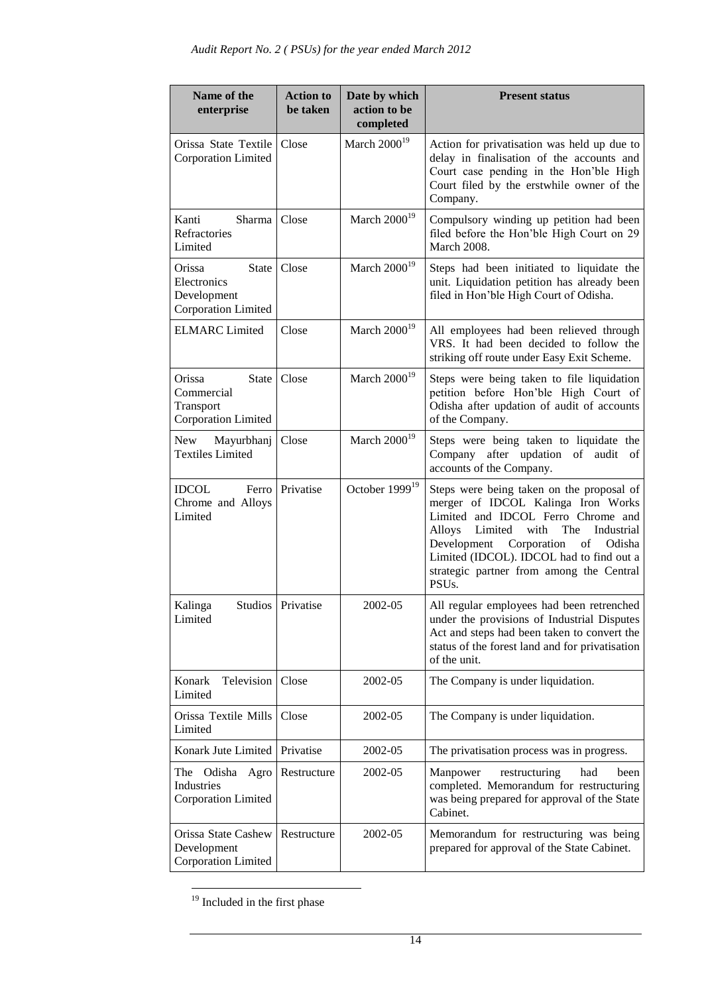| Name of the<br>enterprise                                                   | <b>Action to</b><br>be taken | Date by which<br>action to be<br>completed | <b>Present status</b>                                                                                                                                                                                                                                                                                                                                                                                                            |
|-----------------------------------------------------------------------------|------------------------------|--------------------------------------------|----------------------------------------------------------------------------------------------------------------------------------------------------------------------------------------------------------------------------------------------------------------------------------------------------------------------------------------------------------------------------------------------------------------------------------|
| Orissa State Textile<br>Corporation Limited                                 | Close                        | March $2000^{19}$                          | Action for privatisation was held up due to<br>delay in finalisation of the accounts and<br>Court case pending in the Hon'ble High<br>Court filed by the erstwhile owner of the<br>Company.                                                                                                                                                                                                                                      |
| Kanti<br>Sharma<br>Refractories<br>Limited                                  | Close                        | March 2000 <sup>19</sup>                   | Compulsory winding up petition had been<br>filed before the Hon'ble High Court on 29<br><b>March 2008.</b>                                                                                                                                                                                                                                                                                                                       |
| <b>State</b><br>Orissa<br>Electronics<br>Development<br>Corporation Limited | Close                        | March 2000 <sup>19</sup>                   | Steps had been initiated to liquidate the<br>unit. Liquidation petition has already been<br>filed in Hon'ble High Court of Odisha.                                                                                                                                                                                                                                                                                               |
| <b>ELMARC</b> Limited                                                       | Close                        | March $2000^{19}$                          | All employees had been relieved through<br>VRS. It had been decided to follow the<br>striking off route under Easy Exit Scheme.                                                                                                                                                                                                                                                                                                  |
| Orissa<br><b>State</b><br>Commercial<br>Transport<br>Corporation Limited    | Close                        | March $2000^{19}$                          | Steps were being taken to file liquidation<br>petition before Hon'ble High Court of<br>Odisha after updation of audit of accounts<br>of the Company.                                                                                                                                                                                                                                                                             |
| New<br>Mayurbhanj<br><b>Textiles Limited</b>                                | Close                        | March 2000 <sup>19</sup>                   | Steps were being taken to liquidate the<br>after updation of audit<br>Company<br>οf<br>accounts of the Company.                                                                                                                                                                                                                                                                                                                  |
| <b>IDCOL</b><br>Ferro<br>Chrome and Alloys<br>Limited                       | Privatise                    | October 1999 <sup>19</sup>                 | Steps were being taken on the proposal of<br>merger of IDCOL Kalinga Iron Works<br>Limited and IDCOL Ferro Chrome and<br>Alloys<br>Limited<br>with<br>The<br>Industrial<br>$% \left( \left( \mathcal{A},\mathcal{A}\right) \right) =\left( \mathcal{A},\mathcal{A}\right)$ of<br>Development Corporation<br>Odisha<br>Limited (IDCOL). IDCOL had to find out a<br>strategic partner from among the Central<br>PSU <sub>s</sub> . |
| Kalinga<br>Limited                                                          | Studios   Privatise          | 2002-05                                    | All regular employees had been retrenched<br>under the provisions of Industrial Disputes<br>Act and steps had been taken to convert the<br>status of the forest land and for privatisation<br>of the unit.                                                                                                                                                                                                                       |
| Television<br>Konark<br>Limited                                             | Close                        | 2002-05                                    | The Company is under liquidation.                                                                                                                                                                                                                                                                                                                                                                                                |
| Orissa Textile Mills<br>Limited                                             | Close                        | 2002-05                                    | The Company is under liquidation.                                                                                                                                                                                                                                                                                                                                                                                                |
| Konark Jute Limited                                                         | Privatise                    | 2002-05                                    | The privatisation process was in progress.                                                                                                                                                                                                                                                                                                                                                                                       |
| The Odisha Agro<br>Industries<br>Corporation Limited                        | Restructure                  | 2002-05                                    | Manpower<br>restructuring<br>had<br>been<br>completed. Memorandum for restructuring<br>was being prepared for approval of the State<br>Cabinet.                                                                                                                                                                                                                                                                                  |
| Orissa State Cashew<br>Development<br>Corporation Limited                   | Restructure                  | 2002-05                                    | Memorandum for restructuring was being<br>prepared for approval of the State Cabinet.                                                                                                                                                                                                                                                                                                                                            |

<sup>&</sup>lt;sup>19</sup> Included in the first phase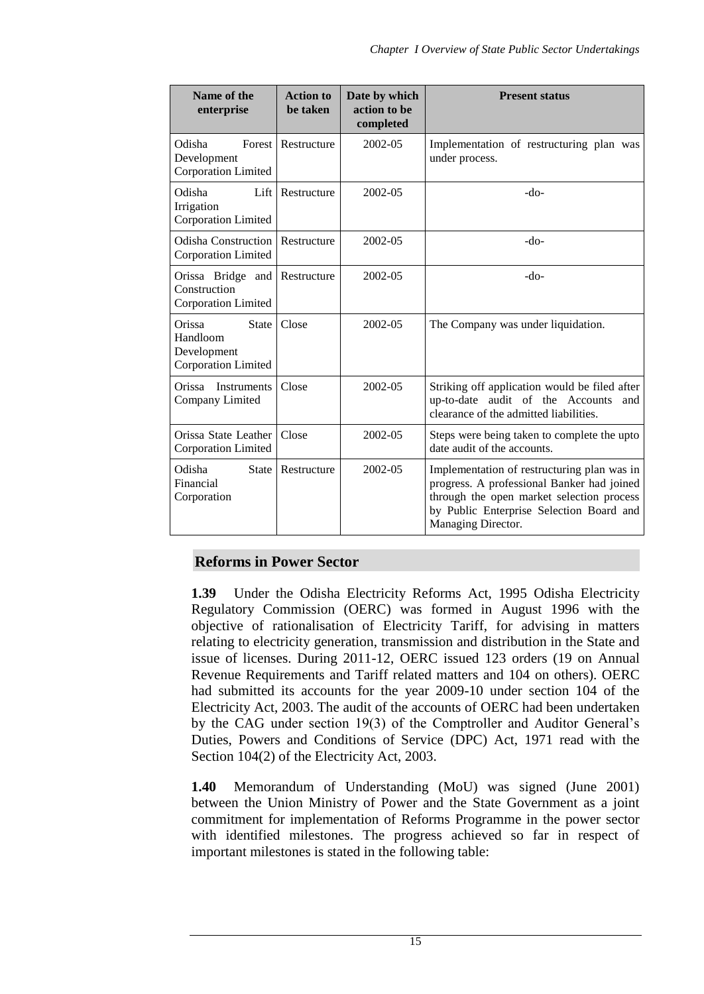| Name of the<br>enterprise                                                | <b>Action to</b><br>be taken | Date by which<br>action to be<br>completed | <b>Present status</b>                                                                                                                                                                                    |
|--------------------------------------------------------------------------|------------------------------|--------------------------------------------|----------------------------------------------------------------------------------------------------------------------------------------------------------------------------------------------------------|
| Odisha<br>Forest<br>Development<br>Corporation Limited                   | Restructure                  | 2002-05                                    | Implementation of restructuring plan was<br>under process.                                                                                                                                               |
| Lift<br>Odisha<br>Irrigation<br>Corporation Limited                      | Restructure                  | 2002-05                                    | $-do-$                                                                                                                                                                                                   |
| <b>Odisha Construction</b><br><b>Corporation Limited</b>                 | Restructure                  | 2002-05                                    | $-do-$                                                                                                                                                                                                   |
| Orissa Bridge and<br>Construction<br>Corporation Limited                 | Restructure                  | 2002-05                                    | $-do-$                                                                                                                                                                                                   |
| Orissa<br><b>State</b><br>Handloom<br>Development<br>Corporation Limited | Close                        | 2002-05                                    | The Company was under liquidation.                                                                                                                                                                       |
| Instruments<br>Orissa<br>Company Limited                                 | Close                        | 2002-05                                    | Striking off application would be filed after<br>up-to-date audit of the Accounts<br>and<br>clearance of the admitted liabilities.                                                                       |
| Orissa State Leather<br>Corporation Limited                              | Close                        | 2002-05                                    | Steps were being taken to complete the upto<br>date audit of the accounts.                                                                                                                               |
| Odisha<br><b>State</b><br>Financial<br>Corporation                       | Restructure                  | 2002-05                                    | Implementation of restructuring plan was in<br>progress. A professional Banker had joined<br>through the open market selection process<br>by Public Enterprise Selection Board and<br>Managing Director. |

## **Reforms in Power Sector**

**1.39** Under the Odisha Electricity Reforms Act, 1995 Odisha Electricity Regulatory Commission (OERC) was formed in August 1996 with the objective of rationalisation of Electricity Tariff, for advising in matters relating to electricity generation, transmission and distribution in the State and issue of licenses. During 2011-12, OERC issued 123 orders (19 on Annual Revenue Requirements and Tariff related matters and 104 on others). OERC had submitted its accounts for the year 2009-10 under section 104 of the Electricity Act, 2003. The audit of the accounts of OERC had been undertaken by the CAG under section 19(3) of the Comptroller and Auditor General's Duties, Powers and Conditions of Service (DPC) Act, 1971 read with the Section 104(2) of the Electricity Act, 2003.

**1.40** Memorandum of Understanding (MoU) was signed (June 2001) between the Union Ministry of Power and the State Government as a joint commitment for implementation of Reforms Programme in the power sector with identified milestones. The progress achieved so far in respect of important milestones is stated in the following table: